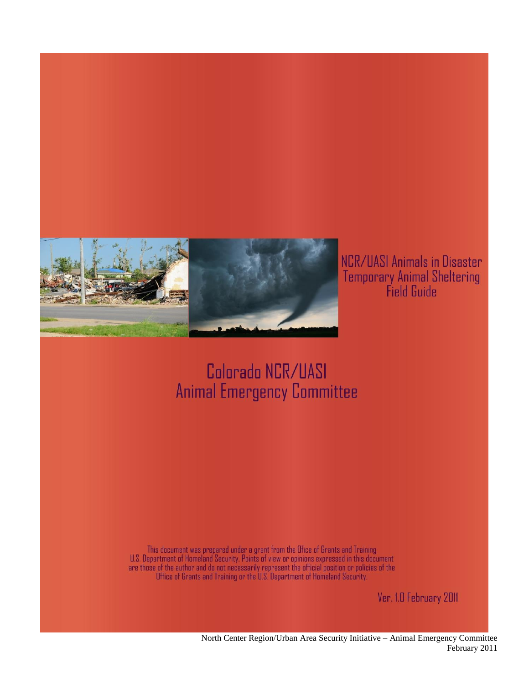

NCR/UASI Animals in Disaster Temporary Animal Sheltering<br>Field Guide

### Colorado NCR/UASI **Animal Emergency Committee**

This document was prepared under a grant from the Ofice of Grants and Training<br>U.S. Department of Homeland Security. Points of view or opinions expressed in this document<br>are those of the author and do not necessarily repr

Ver. 1.0 February 2011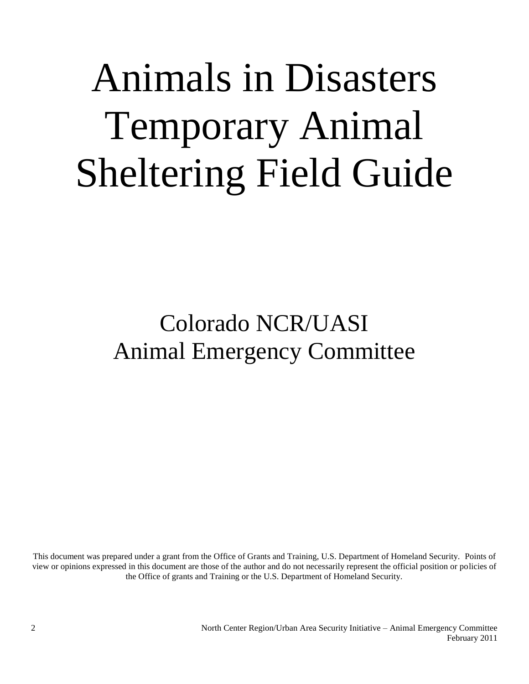# Animals in Disasters Temporary Animal Sheltering Field Guide

## Colorado NCR/UASI Animal Emergency Committee

This document was prepared under a grant from the Office of Grants and Training, U.S. Department of Homeland Security. Points of view or opinions expressed in this document are those of the author and do not necessarily represent the official position or policies of the Office of grants and Training or the U.S. Department of Homeland Security.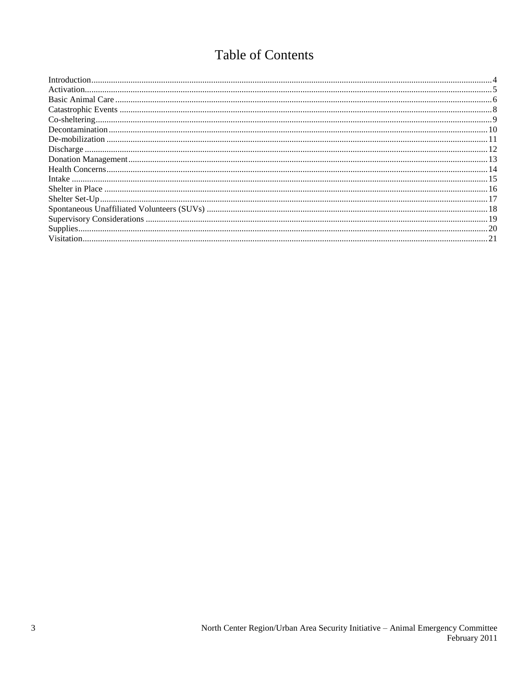#### Table of Contents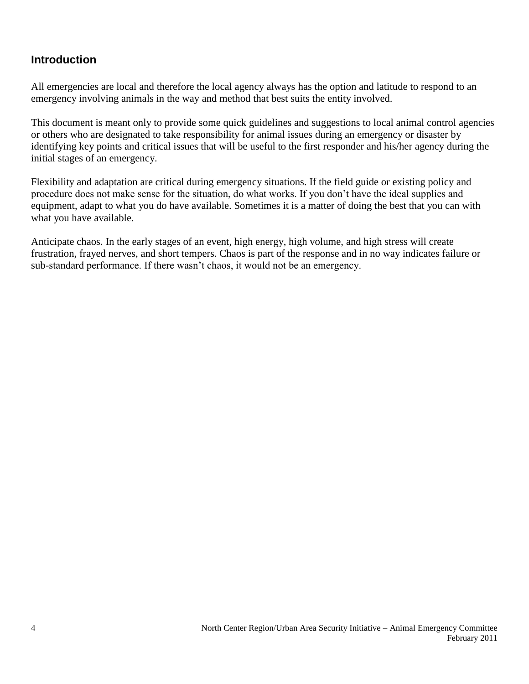#### <span id="page-3-0"></span>**Introduction**

All emergencies are local and therefore the local agency always has the option and latitude to respond to an emergency involving animals in the way and method that best suits the entity involved.

This document is meant only to provide some quick guidelines and suggestions to local animal control agencies or others who are designated to take responsibility for animal issues during an emergency or disaster by identifying key points and critical issues that will be useful to the first responder and his/her agency during the initial stages of an emergency.

Flexibility and adaptation are critical during emergency situations. If the field guide or existing policy and procedure does not make sense for the situation, do what works. If you don't have the ideal supplies and equipment, adapt to what you do have available. Sometimes it is a matter of doing the best that you can with what you have available.

Anticipate chaos. In the early stages of an event, high energy, high volume, and high stress will create frustration, frayed nerves, and short tempers. Chaos is part of the response and in no way indicates failure or sub-standard performance. If there wasn't chaos, it would not be an emergency.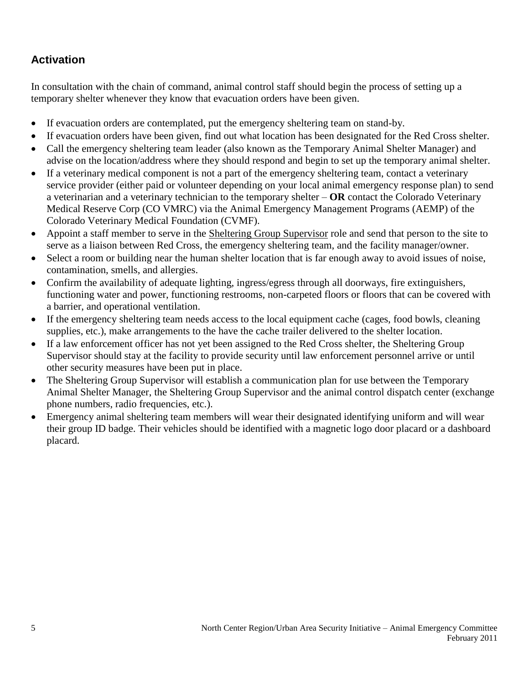#### <span id="page-4-0"></span>**Activation**

In consultation with the chain of command, animal control staff should begin the process of setting up a temporary shelter whenever they know that evacuation orders have been given.

- If evacuation orders are contemplated, put the emergency sheltering team on stand-by.
- If evacuation orders have been given, find out what location has been designated for the Red Cross shelter.
- Call the emergency sheltering team leader (also known as the Temporary Animal Shelter Manager) and advise on the location/address where they should respond and begin to set up the temporary animal shelter.
- If a veterinary medical component is not a part of the emergency sheltering team, contact a veterinary service provider (either paid or volunteer depending on your local animal emergency response plan) to send a veterinarian and a veterinary technician to the temporary shelter – **OR** contact the Colorado Veterinary Medical Reserve Corp (CO VMRC) via the Animal Emergency Management Programs (AEMP) of the Colorado Veterinary Medical Foundation (CVMF).
- Appoint a staff member to serve in the Sheltering Group Supervisor role and send that person to the site to serve as a liaison between Red Cross, the emergency sheltering team, and the facility manager/owner.
- Select a room or building near the human shelter location that is far enough away to avoid issues of noise, contamination, smells, and allergies.
- Confirm the availability of adequate lighting, ingress/egress through all doorways, fire extinguishers, functioning water and power, functioning restrooms, non-carpeted floors or floors that can be covered with a barrier, and operational ventilation.
- If the emergency sheltering team needs access to the local equipment cache (cages, food bowls, cleaning supplies, etc.), make arrangements to the have the cache trailer delivered to the shelter location.
- If a law enforcement officer has not yet been assigned to the Red Cross shelter, the Sheltering Group Supervisor should stay at the facility to provide security until law enforcement personnel arrive or until other security measures have been put in place.
- The Sheltering Group Supervisor will establish a communication plan for use between the Temporary Animal Shelter Manager, the Sheltering Group Supervisor and the animal control dispatch center (exchange phone numbers, radio frequencies, etc.).
- Emergency animal sheltering team members will wear their designated identifying uniform and will wear their group ID badge. Their vehicles should be identified with a magnetic logo door placard or a dashboard placard.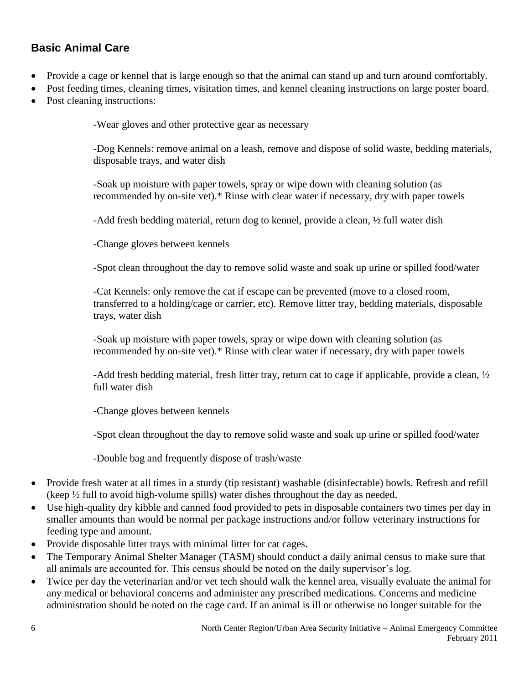#### <span id="page-5-0"></span>**Basic Animal Care**

- Provide a cage or kennel that is large enough so that the animal can stand up and turn around comfortably.
- Post feeding times, cleaning times, visitation times, and kennel cleaning instructions on large poster board.
- Post cleaning instructions:

-Wear gloves and other protective gear as necessary

-Dog Kennels: remove animal on a leash, remove and dispose of solid waste, bedding materials, disposable trays, and water dish

-Soak up moisture with paper towels, spray or wipe down with cleaning solution (as recommended by on-site vet).\* Rinse with clear water if necessary, dry with paper towels

-Add fresh bedding material, return dog to kennel, provide a clean, ½ full water dish

-Change gloves between kennels

-Spot clean throughout the day to remove solid waste and soak up urine or spilled food/water

-Cat Kennels: only remove the cat if escape can be prevented (move to a closed room, transferred to a holding/cage or carrier, etc). Remove litter tray, bedding materials, disposable trays, water dish

-Soak up moisture with paper towels, spray or wipe down with cleaning solution (as recommended by on-site vet).\* Rinse with clear water if necessary, dry with paper towels

-Add fresh bedding material, fresh litter tray, return cat to cage if applicable, provide a clean, ½ full water dish

-Change gloves between kennels

-Spot clean throughout the day to remove solid waste and soak up urine or spilled food/water

-Double bag and frequently dispose of trash/waste

- Provide fresh water at all times in a sturdy (tip resistant) washable (disinfectable) bowls. Refresh and refill (keep ½ full to avoid high-volume spills) water dishes throughout the day as needed.
- Use high-quality dry kibble and canned food provided to pets in disposable containers two times per day in smaller amounts than would be normal per package instructions and/or follow veterinary instructions for feeding type and amount.
- Provide disposable litter trays with minimal litter for cat cages.
- The Temporary Animal Shelter Manager (TASM) should conduct a daily animal census to make sure that all animals are accounted for. This census should be noted on the daily supervisor's log.
- Twice per day the veterinarian and/or vet tech should walk the kennel area, visually evaluate the animal for any medical or behavioral concerns and administer any prescribed medications. Concerns and medicine administration should be noted on the cage card. If an animal is ill or otherwise no longer suitable for the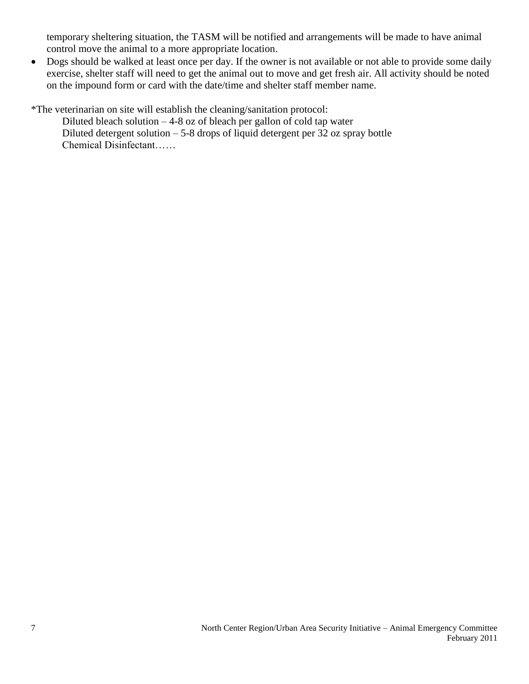temporary sheltering situation, the TASM will be notified and arrangements will be made to have animal control move the animal to a more appropriate location.

• Dogs should be walked at least once per day. If the owner is not available or not able to provide some daily exercise, shelter staff will need to get the animal out to move and get fresh air. All activity should be noted on the impound form or card with the date/time and shelter staff member name.

\*The veterinarian on site will establish the cleaning/sanitation protocol:

Diluted bleach solution  $-4-8$  oz of bleach per gallon of cold tap water Diluted detergent solution  $-5$ -8 drops of liquid detergent per 32 oz spray bottle Chemical Disinfectant……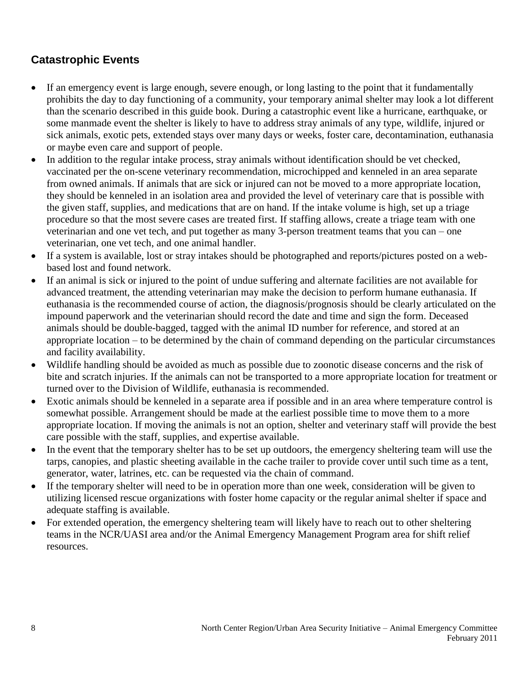#### <span id="page-7-0"></span>**Catastrophic Events**

- If an emergency event is large enough, severe enough, or long lasting to the point that it fundamentally prohibits the day to day functioning of a community, your temporary animal shelter may look a lot different than the scenario described in this guide book. During a catastrophic event like a hurricane, earthquake, or some manmade event the shelter is likely to have to address stray animals of any type, wildlife, injured or sick animals, exotic pets, extended stays over many days or weeks, foster care, decontamination, euthanasia or maybe even care and support of people.
- In addition to the regular intake process, stray animals without identification should be vet checked, vaccinated per the on-scene veterinary recommendation, microchipped and kenneled in an area separate from owned animals. If animals that are sick or injured can not be moved to a more appropriate location, they should be kenneled in an isolation area and provided the level of veterinary care that is possible with the given staff, supplies, and medications that are on hand. If the intake volume is high, set up a triage procedure so that the most severe cases are treated first. If staffing allows, create a triage team with one veterinarian and one vet tech, and put together as many 3-person treatment teams that you can – one veterinarian, one vet tech, and one animal handler.
- If a system is available, lost or stray intakes should be photographed and reports/pictures posted on a webbased lost and found network.
- If an animal is sick or injured to the point of undue suffering and alternate facilities are not available for advanced treatment, the attending veterinarian may make the decision to perform humane euthanasia. If euthanasia is the recommended course of action, the diagnosis/prognosis should be clearly articulated on the impound paperwork and the veterinarian should record the date and time and sign the form. Deceased animals should be double-bagged, tagged with the animal ID number for reference, and stored at an appropriate location – to be determined by the chain of command depending on the particular circumstances and facility availability.
- Wildlife handling should be avoided as much as possible due to zoonotic disease concerns and the risk of bite and scratch injuries. If the animals can not be transported to a more appropriate location for treatment or turned over to the Division of Wildlife, euthanasia is recommended.
- Exotic animals should be kenneled in a separate area if possible and in an area where temperature control is somewhat possible. Arrangement should be made at the earliest possible time to move them to a more appropriate location. If moving the animals is not an option, shelter and veterinary staff will provide the best care possible with the staff, supplies, and expertise available.
- In the event that the temporary shelter has to be set up outdoors, the emergency sheltering team will use the tarps, canopies, and plastic sheeting available in the cache trailer to provide cover until such time as a tent, generator, water, latrines, etc. can be requested via the chain of command.
- If the temporary shelter will need to be in operation more than one week, consideration will be given to utilizing licensed rescue organizations with foster home capacity or the regular animal shelter if space and adequate staffing is available.
- For extended operation, the emergency sheltering team will likely have to reach out to other sheltering teams in the NCR/UASI area and/or the Animal Emergency Management Program area for shift relief resources.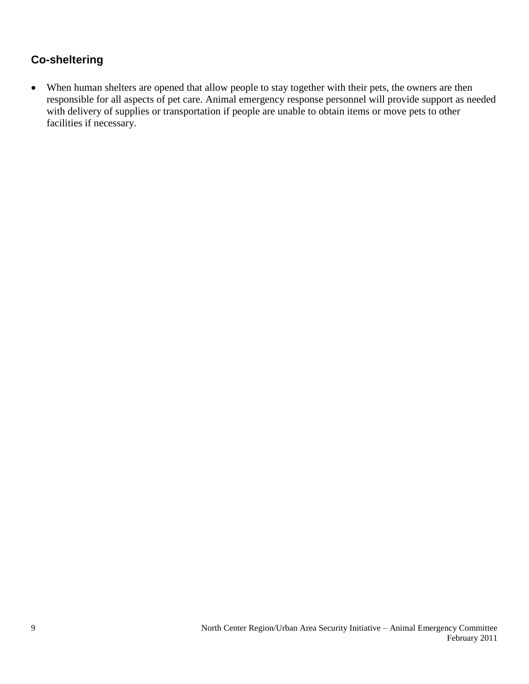#### <span id="page-8-0"></span>**Co-sheltering**

 When human shelters are opened that allow people to stay together with their pets, the owners are then responsible for all aspects of pet care. Animal emergency response personnel will provide support as needed with delivery of supplies or transportation if people are unable to obtain items or move pets to other facilities if necessary.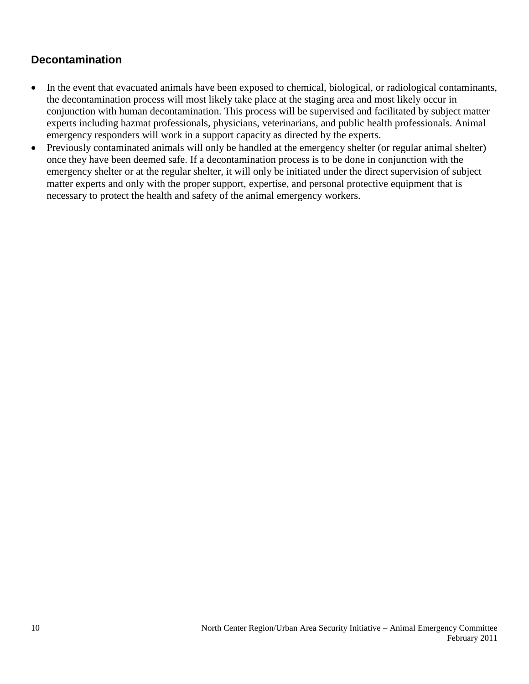#### <span id="page-9-0"></span>**Decontamination**

- In the event that evacuated animals have been exposed to chemical, biological, or radiological contaminants, the decontamination process will most likely take place at the staging area and most likely occur in conjunction with human decontamination. This process will be supervised and facilitated by subject matter experts including hazmat professionals, physicians, veterinarians, and public health professionals. Animal emergency responders will work in a support capacity as directed by the experts.
- Previously contaminated animals will only be handled at the emergency shelter (or regular animal shelter) once they have been deemed safe. If a decontamination process is to be done in conjunction with the emergency shelter or at the regular shelter, it will only be initiated under the direct supervision of subject matter experts and only with the proper support, expertise, and personal protective equipment that is necessary to protect the health and safety of the animal emergency workers.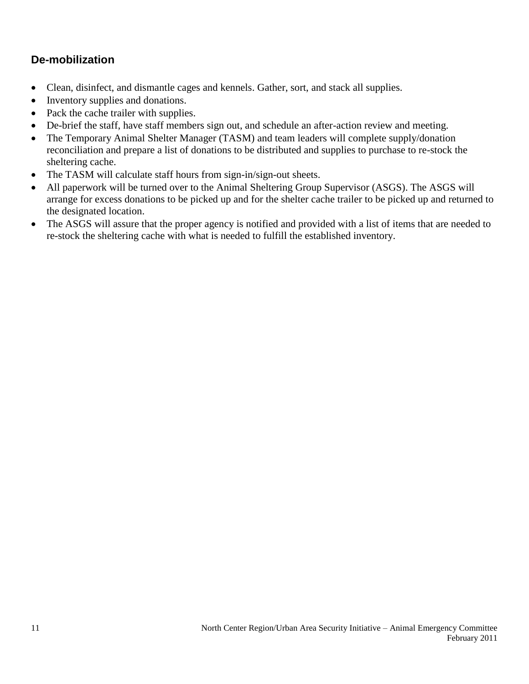#### <span id="page-10-0"></span>**De-mobilization**

- Clean, disinfect, and dismantle cages and kennels. Gather, sort, and stack all supplies.
- Inventory supplies and donations.
- Pack the cache trailer with supplies.
- De-brief the staff, have staff members sign out, and schedule an after-action review and meeting.
- The Temporary Animal Shelter Manager (TASM) and team leaders will complete supply/donation reconciliation and prepare a list of donations to be distributed and supplies to purchase to re-stock the sheltering cache.
- The TASM will calculate staff hours from sign-in/sign-out sheets.
- All paperwork will be turned over to the Animal Sheltering Group Supervisor (ASGS). The ASGS will arrange for excess donations to be picked up and for the shelter cache trailer to be picked up and returned to the designated location.
- The ASGS will assure that the proper agency is notified and provided with a list of items that are needed to re-stock the sheltering cache with what is needed to fulfill the established inventory.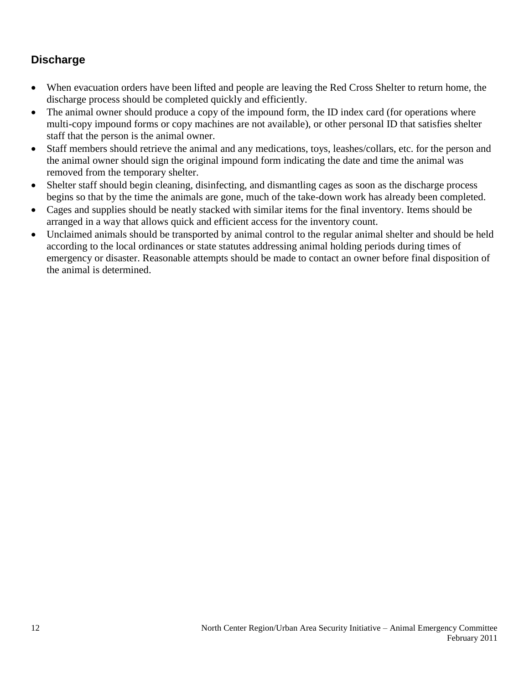#### <span id="page-11-0"></span>**Discharge**

- When evacuation orders have been lifted and people are leaving the Red Cross Shelter to return home, the discharge process should be completed quickly and efficiently.
- The animal owner should produce a copy of the impound form, the ID index card (for operations where multi-copy impound forms or copy machines are not available), or other personal ID that satisfies shelter staff that the person is the animal owner.
- Staff members should retrieve the animal and any medications, toys, leashes/collars, etc. for the person and the animal owner should sign the original impound form indicating the date and time the animal was removed from the temporary shelter.
- Shelter staff should begin cleaning, disinfecting, and dismantling cages as soon as the discharge process begins so that by the time the animals are gone, much of the take-down work has already been completed.
- Cages and supplies should be neatly stacked with similar items for the final inventory. Items should be arranged in a way that allows quick and efficient access for the inventory count.
- Unclaimed animals should be transported by animal control to the regular animal shelter and should be held according to the local ordinances or state statutes addressing animal holding periods during times of emergency or disaster. Reasonable attempts should be made to contact an owner before final disposition of the animal is determined.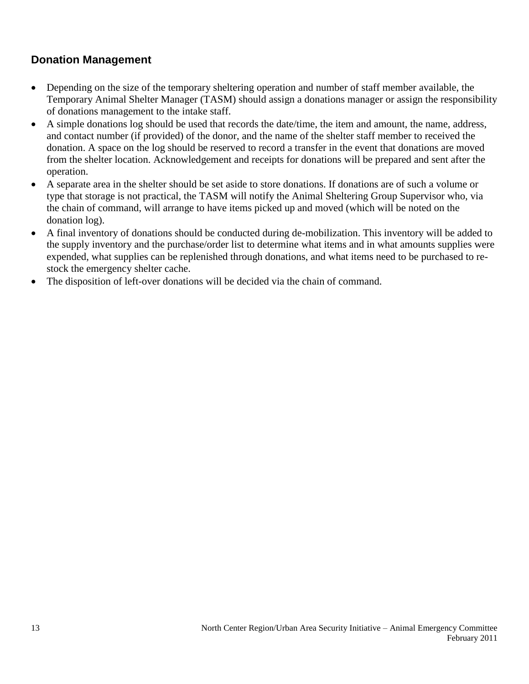#### <span id="page-12-0"></span>**Donation Management**

- Depending on the size of the temporary sheltering operation and number of staff member available, the Temporary Animal Shelter Manager (TASM) should assign a donations manager or assign the responsibility of donations management to the intake staff.
- A simple donations log should be used that records the date/time, the item and amount, the name, address, and contact number (if provided) of the donor, and the name of the shelter staff member to received the donation. A space on the log should be reserved to record a transfer in the event that donations are moved from the shelter location. Acknowledgement and receipts for donations will be prepared and sent after the operation.
- A separate area in the shelter should be set aside to store donations. If donations are of such a volume or type that storage is not practical, the TASM will notify the Animal Sheltering Group Supervisor who, via the chain of command, will arrange to have items picked up and moved (which will be noted on the donation log).
- A final inventory of donations should be conducted during de-mobilization. This inventory will be added to the supply inventory and the purchase/order list to determine what items and in what amounts supplies were expended, what supplies can be replenished through donations, and what items need to be purchased to restock the emergency shelter cache.
- The disposition of left-over donations will be decided via the chain of command.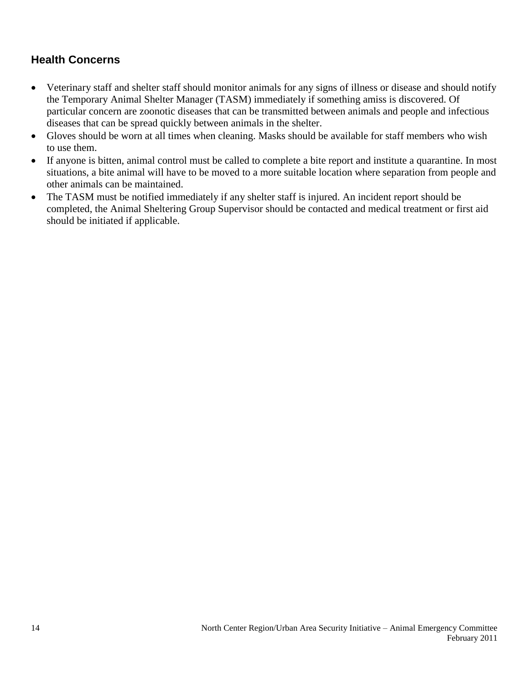#### <span id="page-13-0"></span>**Health Concerns**

- Veterinary staff and shelter staff should monitor animals for any signs of illness or disease and should notify the Temporary Animal Shelter Manager (TASM) immediately if something amiss is discovered. Of particular concern are zoonotic diseases that can be transmitted between animals and people and infectious diseases that can be spread quickly between animals in the shelter.
- Gloves should be worn at all times when cleaning. Masks should be available for staff members who wish to use them.
- If anyone is bitten, animal control must be called to complete a bite report and institute a quarantine. In most situations, a bite animal will have to be moved to a more suitable location where separation from people and other animals can be maintained.
- The TASM must be notified immediately if any shelter staff is injured. An incident report should be completed, the Animal Sheltering Group Supervisor should be contacted and medical treatment or first aid should be initiated if applicable.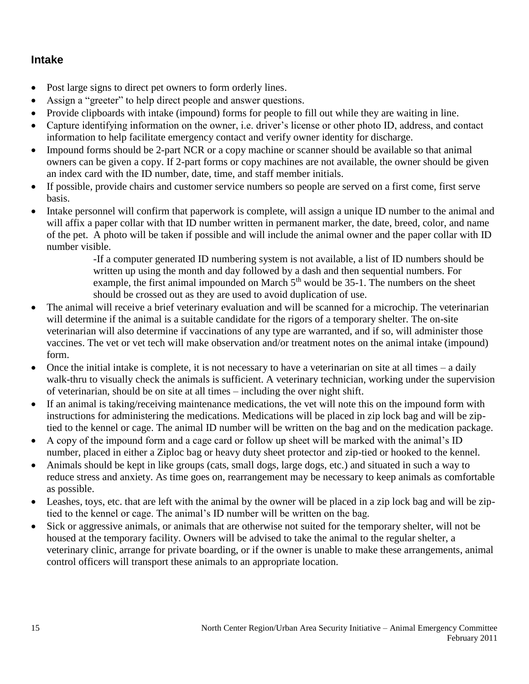#### <span id="page-14-0"></span>**Intake**

- Post large signs to direct pet owners to form orderly lines.
- Assign a "greeter" to help direct people and answer questions.
- Provide clipboards with intake (impound) forms for people to fill out while they are waiting in line.
- Capture identifying information on the owner, i.e. driver's license or other photo ID, address, and contact information to help facilitate emergency contact and verify owner identity for discharge.
- Impound forms should be 2-part NCR or a copy machine or scanner should be available so that animal owners can be given a copy. If 2-part forms or copy machines are not available, the owner should be given an index card with the ID number, date, time, and staff member initials.
- If possible, provide chairs and customer service numbers so people are served on a first come, first serve basis.
- Intake personnel will confirm that paperwork is complete, will assign a unique ID number to the animal and will affix a paper collar with that ID number written in permanent marker, the date, breed, color, and name of the pet. A photo will be taken if possible and will include the animal owner and the paper collar with ID number visible.

-If a computer generated ID numbering system is not available, a list of ID numbers should be written up using the month and day followed by a dash and then sequential numbers. For example, the first animal impounded on March  $5<sup>th</sup>$  would be 35-1. The numbers on the sheet should be crossed out as they are used to avoid duplication of use.

- The animal will receive a brief veterinary evaluation and will be scanned for a microchip. The veterinarian will determine if the animal is a suitable candidate for the rigors of a temporary shelter. The on-site veterinarian will also determine if vaccinations of any type are warranted, and if so, will administer those vaccines. The vet or vet tech will make observation and/or treatment notes on the animal intake (impound) form.
- $\bullet$  Once the initial intake is complete, it is not necessary to have a veterinarian on site at all times a daily walk-thru to visually check the animals is sufficient. A veterinary technician, working under the supervision of veterinarian, should be on site at all times – including the over night shift.
- If an animal is taking/receiving maintenance medications, the vet will note this on the impound form with instructions for administering the medications. Medications will be placed in zip lock bag and will be ziptied to the kennel or cage. The animal ID number will be written on the bag and on the medication package.
- A copy of the impound form and a cage card or follow up sheet will be marked with the animal's ID number, placed in either a Ziploc bag or heavy duty sheet protector and zip-tied or hooked to the kennel.
- Animals should be kept in like groups (cats, small dogs, large dogs, etc.) and situated in such a way to reduce stress and anxiety. As time goes on, rearrangement may be necessary to keep animals as comfortable as possible.
- Leashes, toys, etc. that are left with the animal by the owner will be placed in a zip lock bag and will be ziptied to the kennel or cage. The animal's ID number will be written on the bag.
- Sick or aggressive animals, or animals that are otherwise not suited for the temporary shelter, will not be housed at the temporary facility. Owners will be advised to take the animal to the regular shelter, a veterinary clinic, arrange for private boarding, or if the owner is unable to make these arrangements, animal control officers will transport these animals to an appropriate location.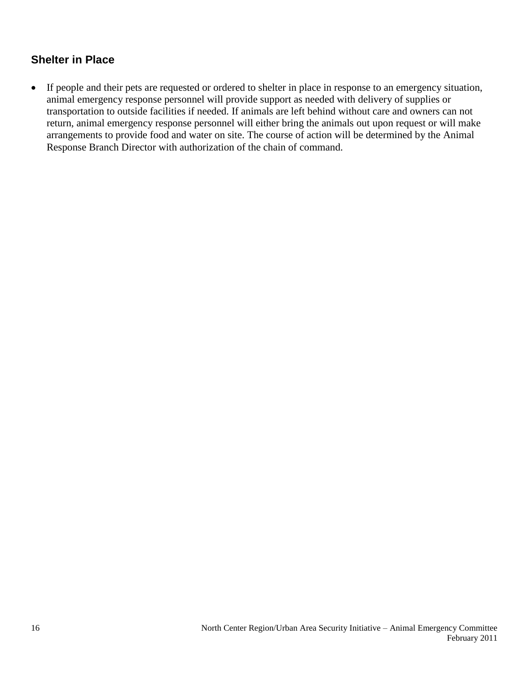#### <span id="page-15-0"></span>**Shelter in Place**

 If people and their pets are requested or ordered to shelter in place in response to an emergency situation, animal emergency response personnel will provide support as needed with delivery of supplies or transportation to outside facilities if needed. If animals are left behind without care and owners can not return, animal emergency response personnel will either bring the animals out upon request or will make arrangements to provide food and water on site. The course of action will be determined by the Animal Response Branch Director with authorization of the chain of command.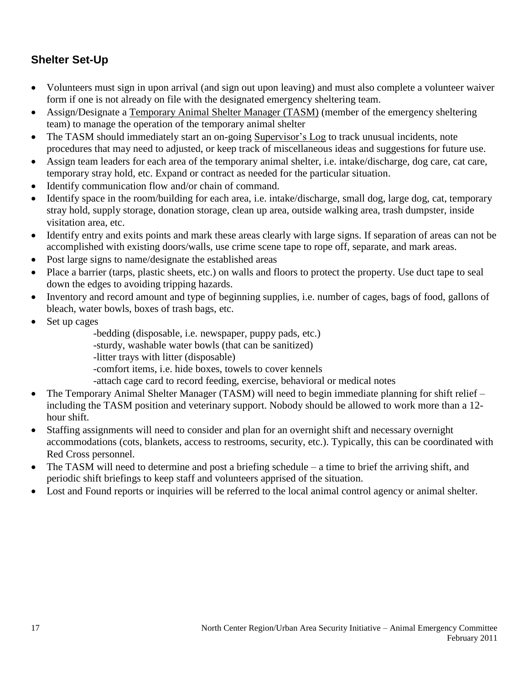#### <span id="page-16-0"></span>**Shelter Set-Up**

- Volunteers must sign in upon arrival (and sign out upon leaving) and must also complete a volunteer waiver form if one is not already on file with the designated emergency sheltering team.
- Assign/Designate a Temporary Animal Shelter Manager (TASM) (member of the emergency sheltering team) to manage the operation of the temporary animal shelter
- The TASM should immediately start an on-going Supervisor's Log to track unusual incidents, note procedures that may need to adjusted, or keep track of miscellaneous ideas and suggestions for future use.
- Assign team leaders for each area of the temporary animal shelter, i.e. intake/discharge, dog care, cat care, temporary stray hold, etc. Expand or contract as needed for the particular situation.
- Identify communication flow and/or chain of command.
- Identify space in the room/building for each area, i.e. intake/discharge, small dog, large dog, cat, temporary stray hold, supply storage, donation storage, clean up area, outside walking area, trash dumpster, inside visitation area, etc.
- Identify entry and exits points and mark these areas clearly with large signs. If separation of areas can not be accomplished with existing doors/walls, use crime scene tape to rope off, separate, and mark areas.
- Post large signs to name/designate the established areas
- Place a barrier (tarps, plastic sheets, etc.) on walls and floors to protect the property. Use duct tape to seal down the edges to avoiding tripping hazards.
- Inventory and record amount and type of beginning supplies, i.e. number of cages, bags of food, gallons of bleach, water bowls, boxes of trash bags, etc.
- Set up cages
	- -bedding (disposable, i.e. newspaper, puppy pads, etc.)
	- -sturdy, washable water bowls (that can be sanitized)
	- -litter trays with litter (disposable)
	- -comfort items, i.e. hide boxes, towels to cover kennels
	- -attach cage card to record feeding, exercise, behavioral or medical notes
- The Temporary Animal Shelter Manager (TASM) will need to begin immediate planning for shift relief including the TASM position and veterinary support. Nobody should be allowed to work more than a 12 hour shift.
- Staffing assignments will need to consider and plan for an overnight shift and necessary overnight accommodations (cots, blankets, access to restrooms, security, etc.). Typically, this can be coordinated with Red Cross personnel.
- The TASM will need to determine and post a briefing schedule a time to brief the arriving shift, and periodic shift briefings to keep staff and volunteers apprised of the situation.
- Lost and Found reports or inquiries will be referred to the local animal control agency or animal shelter.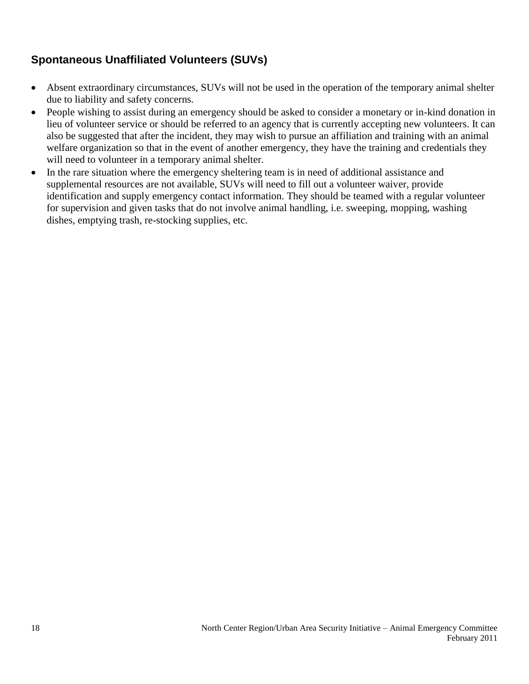#### <span id="page-17-0"></span>**Spontaneous Unaffiliated Volunteers (SUVs)**

- Absent extraordinary circumstances, SUVs will not be used in the operation of the temporary animal shelter due to liability and safety concerns.
- People wishing to assist during an emergency should be asked to consider a monetary or in-kind donation in lieu of volunteer service or should be referred to an agency that is currently accepting new volunteers. It can also be suggested that after the incident, they may wish to pursue an affiliation and training with an animal welfare organization so that in the event of another emergency, they have the training and credentials they will need to volunteer in a temporary animal shelter.
- In the rare situation where the emergency sheltering team is in need of additional assistance and supplemental resources are not available, SUVs will need to fill out a volunteer waiver, provide identification and supply emergency contact information. They should be teamed with a regular volunteer for supervision and given tasks that do not involve animal handling, i.e. sweeping, mopping, washing dishes, emptying trash, re-stocking supplies, etc.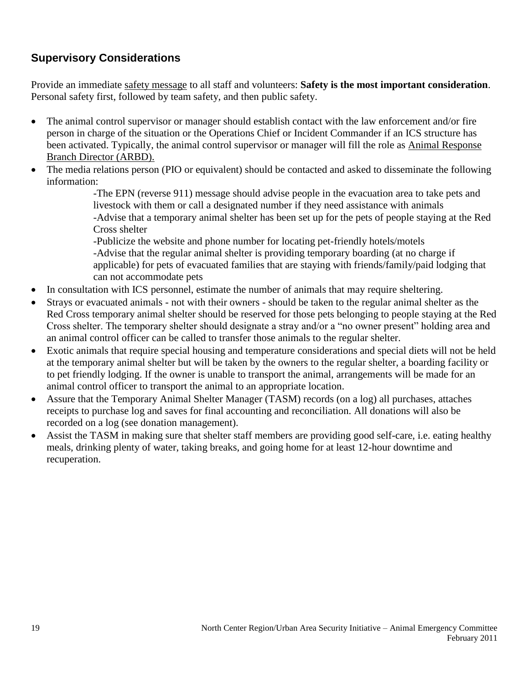#### <span id="page-18-0"></span>**Supervisory Considerations**

Provide an immediate safety message to all staff and volunteers: **Safety is the most important consideration**. Personal safety first, followed by team safety, and then public safety.

- The animal control supervisor or manager should establish contact with the law enforcement and/or fire person in charge of the situation or the Operations Chief or Incident Commander if an ICS structure has been activated. Typically, the animal control supervisor or manager will fill the role as Animal Response Branch Director (ARBD).
- The media relations person (PIO or equivalent) should be contacted and asked to disseminate the following information:

-The EPN (reverse 911) message should advise people in the evacuation area to take pets and livestock with them or call a designated number if they need assistance with animals -Advise that a temporary animal shelter has been set up for the pets of people staying at the Red Cross shelter

-Publicize the website and phone number for locating pet-friendly hotels/motels -Advise that the regular animal shelter is providing temporary boarding (at no charge if applicable) for pets of evacuated families that are staying with friends/family/paid lodging that can not accommodate pets

- In consultation with ICS personnel, estimate the number of animals that may require sheltering.
- Strays or evacuated animals not with their owners should be taken to the regular animal shelter as the Red Cross temporary animal shelter should be reserved for those pets belonging to people staying at the Red Cross shelter. The temporary shelter should designate a stray and/or a "no owner present" holding area and an animal control officer can be called to transfer those animals to the regular shelter.
- Exotic animals that require special housing and temperature considerations and special diets will not be held at the temporary animal shelter but will be taken by the owners to the regular shelter, a boarding facility or to pet friendly lodging. If the owner is unable to transport the animal, arrangements will be made for an animal control officer to transport the animal to an appropriate location.
- Assure that the Temporary Animal Shelter Manager (TASM) records (on a log) all purchases, attaches receipts to purchase log and saves for final accounting and reconciliation. All donations will also be recorded on a log (see donation management).
- Assist the TASM in making sure that shelter staff members are providing good self-care, i.e. eating healthy meals, drinking plenty of water, taking breaks, and going home for at least 12-hour downtime and recuperation.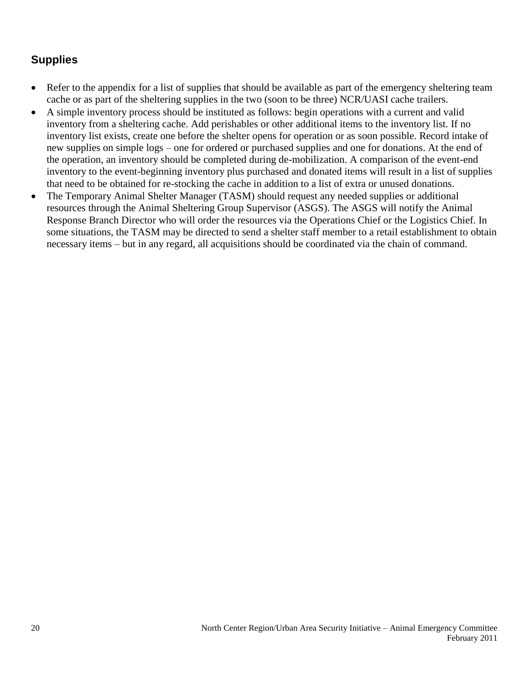#### <span id="page-19-0"></span>**Supplies**

- Refer to the appendix for a list of supplies that should be available as part of the emergency sheltering team cache or as part of the sheltering supplies in the two (soon to be three) NCR/UASI cache trailers.
- A simple inventory process should be instituted as follows: begin operations with a current and valid inventory from a sheltering cache. Add perishables or other additional items to the inventory list. If no inventory list exists, create one before the shelter opens for operation or as soon possible. Record intake of new supplies on simple logs – one for ordered or purchased supplies and one for donations. At the end of the operation, an inventory should be completed during de-mobilization. A comparison of the event-end inventory to the event-beginning inventory plus purchased and donated items will result in a list of supplies that need to be obtained for re-stocking the cache in addition to a list of extra or unused donations.
- The Temporary Animal Shelter Manager (TASM) should request any needed supplies or additional resources through the Animal Sheltering Group Supervisor (ASGS). The ASGS will notify the Animal Response Branch Director who will order the resources via the Operations Chief or the Logistics Chief. In some situations, the TASM may be directed to send a shelter staff member to a retail establishment to obtain necessary items – but in any regard, all acquisitions should be coordinated via the chain of command.